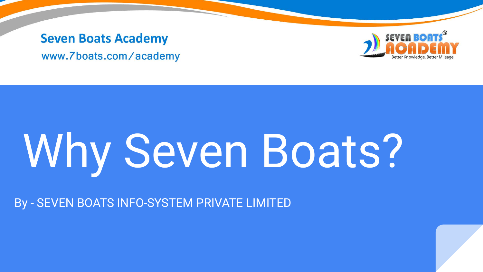**Seven Boats Academy** www.7boats.com/academy



# Why Seven Boats?

By - SEVEN BOATS INFO-SYSTEM PRIVATE LIMITED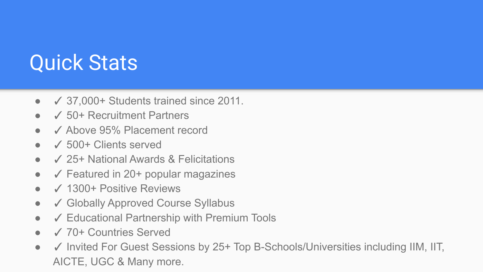#### Quick Stats

- ✓ 37,000+ Students trained since 2011.
- <del>○ 50+</del> Recruitment Partners
- <del>○</del> △ Above 95% Placement record
- <del>√ 500+ Clients served</del>
- <del>○</del> <del>∠</del> 25+ National Awards & Felicitations
- <del>√</del> Featured in 20+ popular magazines
- <del>√ 1300+ Positive Reviews</del>
- <del>○</del> Globally Approved Course Syllabus
- <del>○</del> Educational Partnership with Premium Tools
- **√** 70+ Countries Served
- ✓ Invited For Guest Sessions by 25+ Top B-Schools/Universities including IIM, IIT, AICTE, UGC & Many more.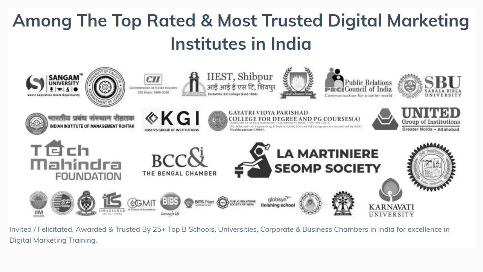#### **Among The Top Rated & Most Trusted Digital Marketing** Institutes in India



Invited / Felicitated, Awarded & Trusted By 25+ Top B Schools, Universities, Corporate & Business Chambers in India for excellence in Digital Marketing Training.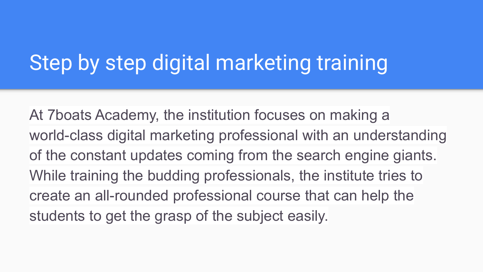#### Step by step digital marketing training

At 7boats Academy, the institution focuses on making a world-class digital marketing professional with an understanding of the constant updates coming from the search engine giants. While training the budding professionals, the institute tries to create an all-rounded professional course that can help the students to get the grasp of the subject easily.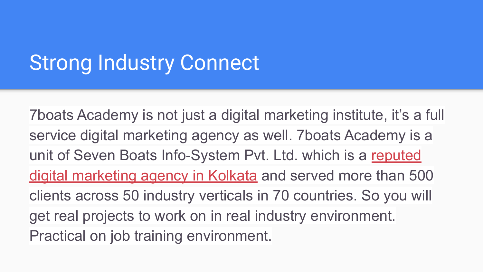#### Strong Industry Connect

7boats Academy is not just a digital marketing institute, it's a full service digital marketing agency as well. 7boats Academy is a unit of Seven Boats Info-System Pvt. Ltd. which is a [reputed](https://www.7boats.com/) [digital marketing agency in Kolkata](https://www.7boats.com/) and served more than 500 clients across 50 industry verticals in 70 countries. So you will get real projects to work on in real industry environment. Practical on job training environment.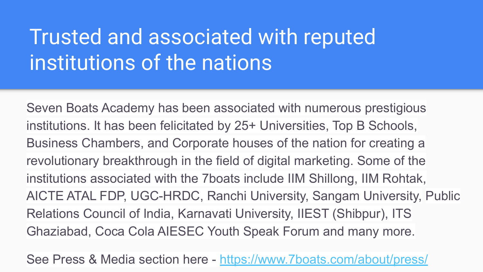### Trusted and associated with reputed institutions of the nations

Seven Boats Academy has been associated with numerous prestigious institutions. It has been felicitated by 25+ Universities, Top B Schools, Business Chambers, and Corporate houses of the nation for creating a revolutionary breakthrough in the field of digital marketing. Some of the institutions associated with the 7boats include IIM Shillong, IIM Rohtak, AICTE ATAL FDP, UGC-HRDC, Ranchi University, Sangam University, Public Relations Council of India, Karnavati University, IIEST (Shibpur), ITS Ghaziabad, Coca Cola AIESEC Youth Speak Forum and many more.

See Press & Media section here - <https://www.7boats.com/about/press/>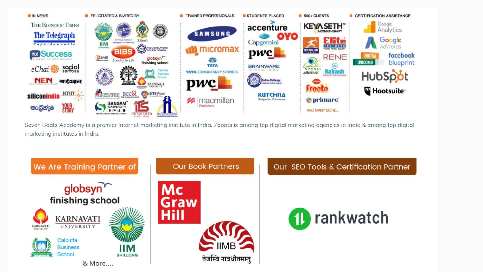

Seven Boats Academy is a premier Internet marketing institute in India. 7boats is among top digital marketing agencies in India & among top digital marketing institutes in India.

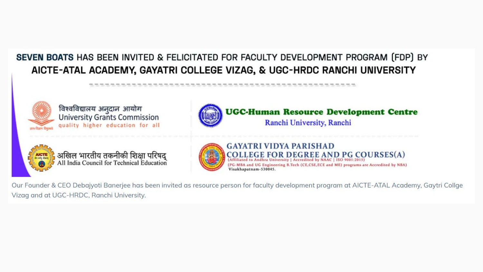#### SEVEN BOATS HAS BEEN INVITED & FELICITATED FOR FACULTY DEVELOPMENT PROGRAM (FDP) BY AICTE-ATAL ACADEMY, GAYATRI COLLEGE VIZAG, & UGC-HRDC RANCHI UNIVERSITY



विश्वविद्यालय अनुदान आयोग<br>University Grants Commission quality higher education for all



**UGC-Human Resource Development Centre** Ranchi University, Ranchi



अखिल भारतीय तकनीकी शिक्षा परिषद्<br>All India Council for Technical Education



**GAYATRI VIDYA PARISHAD EGREE AND PG COURSES(A)** Affiliated to Andhra University | Accredited by NAAC | ISO 9001:2015) (PG-MBA and UG Engineering B.Tech (CE,CSE,ECE and ME) programs are Accredited by NBA) Visakhapatnam-530045.

Our Founder & CEO Debajyoti Banerjee has been invited as resource person for faculty development program at AICTE-ATAL Academy, Gaytri Collge Vizag and at UGC-HRDC, Ranchi University.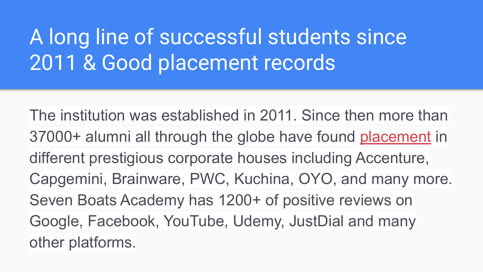## A long line of successful students since 2011 & Good placement records

The institution was established in 2011. Since then more than 37000+ alumni all through the globe have found [placement](https://www.7boats.com/academy/placement/) in different prestigious corporate houses including Accenture, Capgemini, Brainware, PWC, Kuchina, OYO, and many more. Seven Boats Academy has 1200+ of positive reviews on Google, Facebook, YouTube, Udemy, JustDial and many other platforms.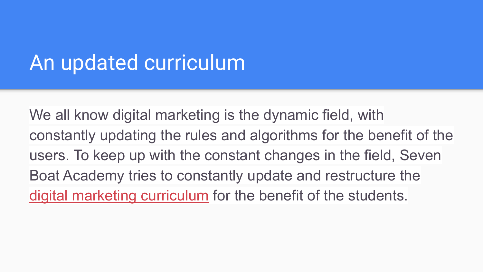#### An updated curriculum

We all know digital marketing is the dynamic field, with constantly updating the rules and algorithms for the benefit of the users. To keep up with the constant changes in the field, Seven Boat Academy tries to constantly update and restructure the [digital marketing curriculum](https://www.7boats.com/academy/digital-marketing-course-curriculum/) for the benefit of the students.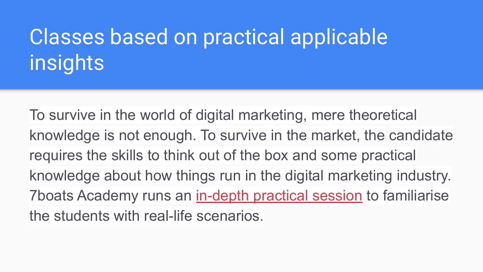## Classes based on practical applicable insights

To survive in the world of digital marketing, mere theoretical knowledge is not enough. To survive in the market, the candidate requires the skills to think out of the box and some practical knowledge about how things run in the digital marketing industry. 7boats Academy runs an [in-depth practical session](https://www.7boats.com/academy/live-projects/) to familiarise the students with real-life scenarios.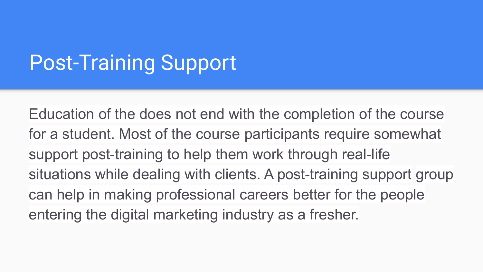#### Post-Training Support

Education of the does not end with the completion of the course for a student. Most of the course participants require somewhat support post-training to help them work through real-life situations while dealing with clients. A post-training support group can help in making professional careers better for the people entering the digital marketing industry as a fresher.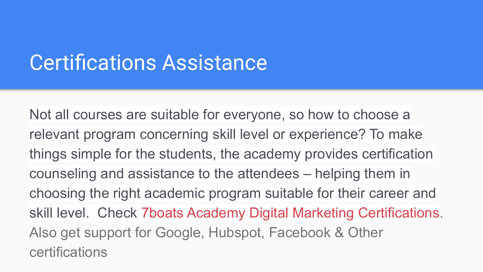#### Certifications Assistance

Not all courses are suitable for everyone, so how to choose a relevant program concerning skill level or experience? To make things simple for the students, the academy provides certification counseling and assistance to the attendees – helping them in choosing the right academic program suitable for their career and skill level. Check [7boats Academy Digital Marketing Certifications](https://www.7boats.com/academy/seven-boats-certifications/). Also get support for Google, Hubspot, Facebook & Other certifications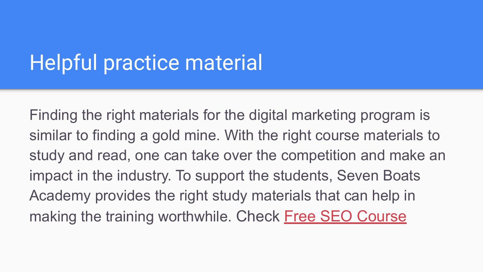#### Helpful practice material

Finding the right materials for the digital marketing program is similar to finding a gold mine. With the right course materials to study and read, one can take over the competition and make an impact in the industry. To support the students, Seven Boats Academy provides the right study materials that can help in making the training worthwhile. Check [Free SEO Course](https://www.7boats.com/academy/course/free-seo-certification-course/)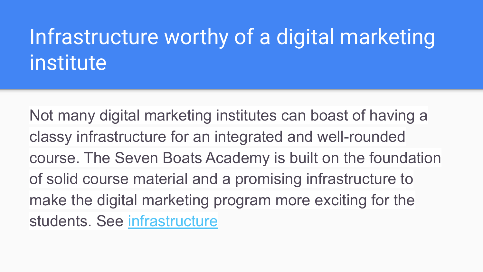## Infrastructure worthy of a digital marketing institute

Not many digital marketing institutes can boast of having a classy infrastructure for an integrated and well-rounded course. The Seven Boats Academy is built on the foundation of solid course material and a promising infrastructure to make the digital marketing program more exciting for the students. See [infrastructure](https://www.7boats.com/academy/infrastructure-lab/)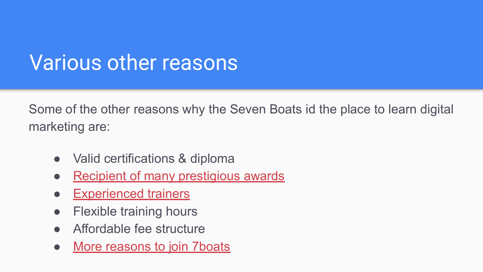#### Various other reasons

Some of the other reasons why the Seven Boats id the place to learn digital marketing are:

- Valid certifications & diploma
- **[Recipient of many prestigious awards](https://www.7boats.com/academy/awards/)**
- **[Experienced trainers](https://www.7boats.com/academy/trainers/)**
- Flexible training hours
- Affordable fee structure
- More reasons to join 7 boats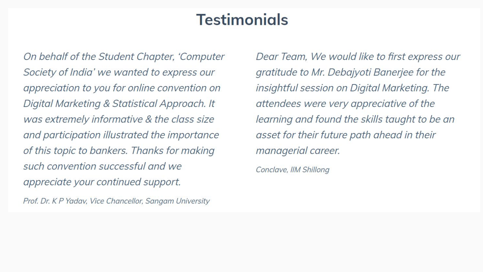#### **Testimonials**

On behalf of the Student Chapter, 'Computer Society of India' we wanted to express our appreciation to you for online convention on Digital Marketing & Statistical Approach. It was extremely informative & the class size and participation illustrated the importance of this topic to bankers. Thanks for making such convention successful and we appreciate your continued support.

Prof. Dr. K P Yadav, Vice Chancellor, Sangam University

Dear Team, We would like to first express our gratitude to Mr. Debajyoti Banerjee for the insightful session on Digital Marketing. The attendees were very appreciative of the learning and found the skills taught to be an asset for their future path ahead in their managerial career.

Conclave. IIM Shillong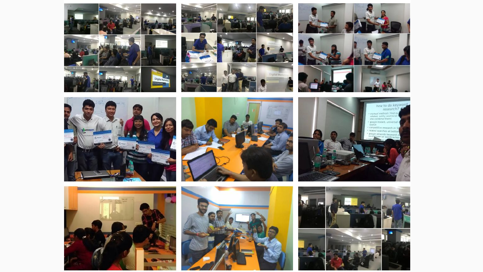